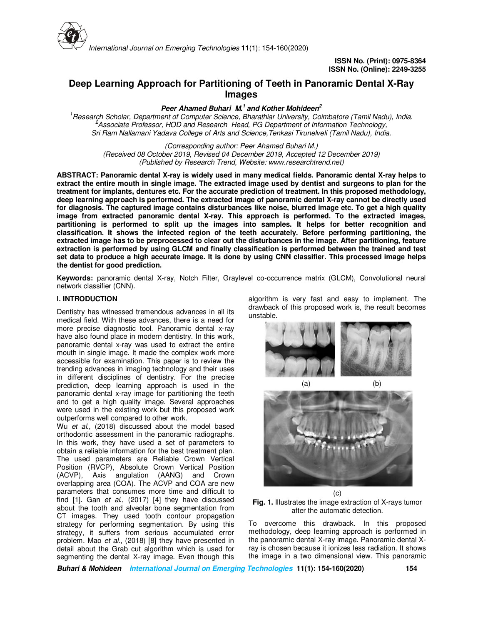

# **Deep Learning Approach for Partitioning of Teeth in Panoramic Dental X-Ray Images**

**Peer Ahamed Buhari M.<sup>1</sup>and Kother Mohideen<sup>2</sup>**

*<sup>1</sup>Research Scholar, Department of Computer Science, Bharathiar University, Coimbatore (Tamil Nadu), India. <sup>2</sup>Associate Professor, HOD and Research Head, PG Department of Information Technology, Sri Ram Nallamani Yadava College of Arts and Science,Tenkasi Tirunelveli (Tamil Nadu), India.*

*(Corresponding author: Peer Ahamed Buhari M.) (Received 08 October 2019, Revised 04 December 2019, Accepted 12 December 2019) (Published by Research Trend, Website: www.researchtrend.net)*

**ABSTRACT: Panoramic dental X-ray is widely used in many medical fields. Panoramic dental X-ray helps to extract the entire mouth in single image. The extracted image used by dentist and surgeons to plan for the treatment for implants, dentures etc. For the accurate prediction of treatment. In this proposed methodology, deep learning approach is performed. The extracted image of panoramic dental X-ray cannot be directly used for diagnosis. The captured image contains disturbances like noise, blurred image etc. To get a high quality image from extracted panoramic dental X-ray. This approach is performed. To the extracted images, partitioning is performed to split up the images into samples. It helps for better recognition and classification. It shows the infected region of the teeth accurately. Before performing partitioning, the extracted image has to be preprocessed to clear out the disturbances in the image. After partitioning, feature extraction is performed by using GLCM and finally classification is performed between the trained and test set data to produce a high accurate image. It is done by using CNN classifier. This processed image helps the dentist for good prediction.** 

**Keywords:** panoramic dental X-ray, Notch Filter, Graylevel co-occurrence matrix (GLCM), Convolutional neural network classifier (CNN).

## **I. INTRODUCTION**

Dentistry has witnessed tremendous advances in all its medical field. With these advances, there is a need for more precise diagnostic tool. Panoramic dental x-ray have also found place in modern dentistry. In this work, panoramic dental x-ray was used to extract the entire mouth in single image. It made the complex work more accessible for examination. This paper is to review the trending advances in imaging technology and their uses in different disciplines of dentistry. For the precise prediction, deep learning approach is used in the panoramic dental x-ray image for partitioning the teeth and to get a high quality image. Several approaches were used in the existing work but this proposed work outperforms well compared to other work.

Wu *et al.*, (2018) discussed about the model based orthodontic assessment in the panoramic radiographs. In this work, they have used a set of parameters to obtain a reliable information for the best treatment plan. The used parameters are Reliable Crown Vertical Position (RVCP), Absolute Crown Vertical Position (ACVP), Axis angulation (AANG) and Crown overlapping area (COA). The ACVP and COA are new parameters that consumes more time and difficult to find [1]. Gan *et al*., (2017) [4] they have discussed about the tooth and alveolar bone segmentation from CT images. They used tooth contour propagation strategy for performing segmentation. By using this strategy, it suffers from serious accumulated error problem. Mao *et al.*, (2018) [8] they have presented in detail about the Grab cut algorithm which is used for segmenting the dental X-ray image. Even though this

algorithm is very fast and easy to implement. The drawback of this proposed work is, the result becomes unstable.







To overcome this drawback. In this proposed methodology, deep learning approach is performed in the panoramic dental X-ray image. Panoramic dental Xray is chosen because it ionizes less radiation. It shows the image in a two dimensional view. This panoramic

**Buhari & Mohideen International Journal on Emerging Technologies 11(1): 154-160(2020) 154**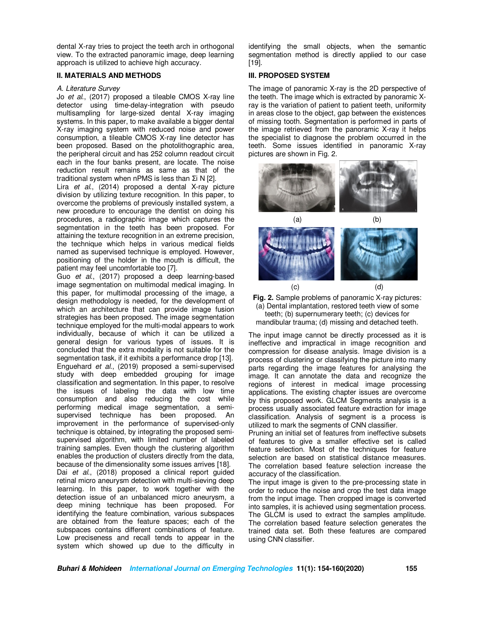dental X-ray tries to project the teeth arch in orthogonal view. To the extracted panoramic image, deep learning approach is utilized to achieve high accuracy.

#### **II. MATERIALS AND METHODS**

#### *A. Literature Survey*

Jo *et al*., (2017) proposed a tileable CMOS X-ray line detector using time-delay-integration with pseudo multisampling for large-sized dental X-ray imaging systems. In this paper, to make available a bigger dental X-ray imaging system with reduced noise and power consumption, a tileable CMOS X-ray line detector has been proposed. Based on the photolithographic area, the peripheral circuit and has 252 column readout circuit each in the four banks present, are locate. The noise reduction result remains as same as that of the traditional system when nPMS is less than Σi N [2].

Lira *et al.*, (2014) proposed a dental X-ray picture division by utilizing texture recognition. In this paper, to overcome the problems of previously installed system, a new procedure to encourage the dentist on doing his procedures, a radiographic image which captures the segmentation in the teeth has been proposed. For attaining the texture recognition in an extreme precision, the technique which helps in various medical fields named as supervised technique is employed. However, positioning of the holder in the mouth is difficult, the patient may feel uncomfortable too [7].

Guo *et al.*, (2017) proposed a deep learning-based image segmentation on multimodal medical imaging. In this paper, for multimodal processing of the image, a design methodology is needed, for the development of which an architecture that can provide image fusion strategies has been proposed. The image segmentation technique employed for the multi-modal appears to work individually, because of which it can be utilized a general design for various types of issues. It is concluded that the extra modality is not suitable for the segmentation task, if it exhibits a performance drop [13]. Enguehard *et al.*, (2019) proposed a semi-supervised study with deep embedded grouping for image classification and segmentation. In this paper, to resolve the issues of labeling the data with low time consumption and also reducing the cost while performing medical image segmentation, a semisupervised technique has been proposed. An improvement in the performance of supervised-only technique is obtained, by integrating the proposed semisupervised algorithm, with limited number of labeled training samples. Even though the clustering algorithm enables the production of clusters directly from the data, because of the dimensionality some issues arrives [18]. Dai *et al.*, (2018) proposed a clinical report guided retinal micro aneurysm detection with multi-sieving deep learning. In this paper, to work together with the detection issue of an unbalanced micro aneurysm, a deep mining technique has been proposed. For identifying the feature combination, various subspaces are obtained from the feature spaces; each of the subspaces contains different combinations of feature. Low preciseness and recall tends to appear in the system which showed up due to the difficulty in

identifying the small objects, when the semantic segmentation method is directly applied to our case [19].

### **III. PROPOSED SYSTEM**

The image of panoramic X-ray is the 2D perspective of the teeth. The image which is extracted by panoramic Xray is the variation of patient to patient teeth, uniformity in areas close to the object, gap between the existences of missing tooth. Segmentation is performed in parts of the image retrieved from the panoramic X-ray it helps the specialist to diagnose the problem occurred in the teeth. Some issues identified in panoramic X-ray pictures are shown in Fig. 2.



**Fig. 2.** Sample problems of panoramic X-ray pictures: (a) Dental implantation, restored teeth view of some teeth; (b) supernumerary teeth; (c) devices for mandibular trauma; (d) missing and detached teeth.

The input image cannot be directly processed as it is ineffective and impractical in image recognition and compression for disease analysis. Image division is a process of clustering or classifying the picture into many parts regarding the image features for analysing the image. It can annotate the data and recognize the regions of interest in medical image processing applications. The existing chapter issues are overcome by this proposed work. GLCM Segments analysis is a process usually associated feature extraction for image classification. Analysis of segment is a process is utilized to mark the segments of CNN classifier.

Pruning an initial set of features from ineffective subsets of features to give a smaller effective set is called feature selection. Most of the techniques for feature selection are based on statistical distance measures. The correlation based feature selection increase the accuracy of the classification.

The input image is given to the pre-processing state in order to reduce the noise and crop the test data image from the input image. Then cropped image is converted into samples, it is achieved using segmentation process. The GLCM is used to extract the samples amplitude. The correlation based feature selection generates the trained data set. Both these features are compared using CNN classifier.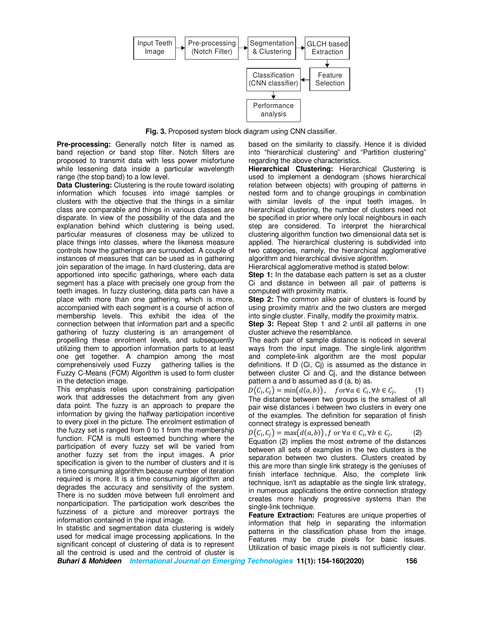

**Fig. 3.** Proposed system block diagram using CNN classifier.

**Pre-processing:** Generally notch filter is named as band rejection or band stop filter. Notch filters are proposed to transmit data with less power misfortune while lessening data inside a particular wavelength range (the stop band) to a low level.

**Data Clustering:** Clustering is the route toward isolating information which focuses into image samples or clusters with the objective that the things in a similar class are comparable and things in various classes are disparate. In view of the possibility of the data and the explanation behind which clustering is being used, particular measures of closeness may be utilized to place things into classes, where the likeness measure controls how the gatherings are surrounded. A couple of instances of measures that can be used as in gathering join separation of the image. In hard clustering, data are apportioned into specific gatherings, where each data segment has a place with precisely one group from the teeth images. In fuzzy clustering, data parts can have a place with more than one gathering, which is more, accompanied with each segment is a course of action of membership levels. This exhibit the idea of the connection between that information part and a specific gathering of fuzzy clustering is an arrangement of propelling these enrolment levels, and subsequently utilizing them to apportion information parts to at least one get together. A champion among the most comprehensively used Fuzzy gathering tallies is the Fuzzy C-Means (FCM) Algorithm is used to form cluster in the detection image.

This emphasis relies upon constraining participation work that addresses the detachment from any given data point. The fuzzy is an approach to prepare the information by giving the halfway participation incentive to every pixel in the picture. The enrolment estimation of the fuzzy set is ranged from 0 to 1 from the membership function. FCM is multi esteemed bunching where the participation of every fuzzy set will be varied from another fuzzy set from the input images. A prior specification is given to the number of clusters and it is a time consuming algorithm because number of iteration required is more. It is a time consuming algorithm and degrades the accuracy and sensitivity of the system. There is no sudden move between full enrolment and nonparticipation. The participation work describes the fuzziness of a picture and moreover portrays the information contained in the input image.

In statistic and segmentation data clustering is widely used for medical image processing applications. In the significant concept of clustering of data is to represent all the centroid is used and the centroid of cluster is based on the similarity to classify. Hence it is divided into "hierarchical clustering" and "Partition clustering" regarding the above characteristics.

**Hierarchical Clustering:** Hierarchical Clustering is used to implement a dendogram (shows hierarchical relation between objects) with grouping of patterns in nested form and to change groupings in combination with similar levels of the input teeth images. In hierarchical clustering, the number of clusters need not be specified in prior where only local neighbours in each step are considered. To interpret the hierarchical clustering algorithm function two dimensional data set is applied. The hierarchical clustering is subdivided into two categories, namely, the hierarchical agglomerative algorithm and hierarchical divisive algorithm.

Hierarchical agglomerative method is stated below:

**Step 1:** In the database each pattern is set as a cluster Ci and distance in between all pair of patterns is computed with proximity matrix.

**Step 2:** The common alike pair of clusters is found by using proximity matrix and the two clusters are merged into single cluster. Finally, modify the proximity matrix.

**Step 3:** Repeat Step 1 and 2 until all patterns in one cluster achieve the resemblance.

The each pair of sample distance is noticed in several ways from the input image. The single-link algorithm and complete-link algorithm are the most popular definitions. If D (Ci, Cj) is assumed as the distance in between cluster Ci and Cj, and the distance between pattern a and b assumed as d (a, b) as.

 $D(C_i, C_j) = \min(d(a, b)), \quad for \forall a \in C_i, \forall b \in C_j$  $(1)$ The distance between two groups is the smallest of all pair wise distances i between two clusters in every one of the examples. The definition for separation of finish connect strategy is expressed beneath

$$
D(C_i, C_j) = \max(d(a, b)), f \text{ or } \forall a \in C_i, \forall b \in C_j,
$$
 (2)

Equation (2) implies the most extreme of the distances between all sets of examples in the two clusters is the separation between two clusters. Clusters created by this are more than single link strategy is the geniuses of finish interface technique. Also, the complete link technique, isn't as adaptable as the single link strategy, in numerous applications the entire connection strategy creates more handy progressive systems than the single-link technique.

**Feature Extraction:** Features are unique properties of information that help in separating the information patterns in the classification phase from the image. Features may be crude pixels for basic issues. Utilization of basic image pixels is not sufficiently clear.

**Buhari & Mohideen International Journal on Emerging Technologies 11(1): 154-160(2020) 156**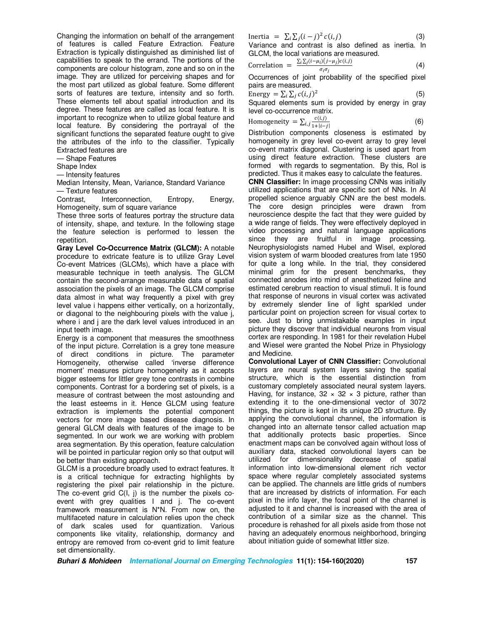Changing the information on behalf of the arrangement of features is called Feature Extraction. Feature Extraction is typically distinguished as diminished list of capabilities to speak to the errand. The portions of the components are colour histogram, zone and so on in the image. They are utilized for perceiving shapes and for the most part utilized as global feature. Some different sorts of features are texture, intensity and so forth. These elements tell about spatial introduction and its degree. These features are called as local feature. It is important to recognize when to utilize global feature and local feature. By considering the portrayal of the significant functions the separated feature ought to give the attributes of the info to the classifier. Typically Extracted features are

— Shape Features

Shape Index

— Intensity features

Median Intensity, Mean, Variance, Standard Variance — Texture features

Contrast, Interconnection, Entropy, Energy, Homogeneity, sum of square variance

These three sorts of features portray the structure data of intensity, shape, and texture. In the following stage the feature selection is performed to lessen the repetition.

**Gray Level Co-Occurrence Matrix (GLCM):** A notable procedure to extricate feature is to utilize Gray Level Co-event Matrices (GLCMs), which have a place with measurable technique in teeth analysis. The GLCM contain the second-arrange measurable data of spatial association the pixels of an image. The GLCM comprise data almost in what way frequently a pixel with grey level value i happens either vertically, on a horizontally, or diagonal to the neighbouring pixels with the value j, where i and j are the dark level values introduced in an input teeth image.

Energy is a component that measures the smoothness of the input picture. Correlation is a grey tone measure of direct conditions in picture. The parameter Homogeneity, otherwise called 'inverse difference moment' measures picture homogeneity as it accepts bigger esteems for littler grey tone contrasts in combine components. Contrast for a bordering set of pixels, is a measure of contrast between the most astounding and the least esteems in it. Hence GLCM using feature extraction is implements the potential component vectors for more image based disease diagnosis. In general GLCM deals with features of the image to be segmented. In our work we are working with problem area segmentation. By this operation, feature calculation will be pointed in particular region only so that output will be better than existing approach.

GLCM is a procedure broadly used to extract features. It is a critical technique for extracting highlights by registering the pixel pair relationship in the picture. The co-event grid C(I, j) is the number the pixels coevent with grey qualities I and j. The co-event framework measurement is N\*N. From now on, the multifaceted nature in calculation relies upon the check of dark scales used for quantization. Various components like vitality, relationship, dormancy and entropy are removed from co-event grid to limit feature set dimensionality.

Inertia = 
$$
\sum_{i} \sum_{j} (i - j)^2 c(i, j)
$$
 (3)

Variance and contrast is also defined as inertia. In GLCM, the local variations are measured.

Correlation = 
$$
\frac{\sum_{i} \sum_{j} (i - \mu_{i})(j - \mu_{j}) c(i, j)}{\sigma_{i} \sigma_{j}}
$$
 (4)

Occurrences of joint probability of the specified pixel pairs are measured.

Energy = 
$$
\sum_i \sum_j c(i, j)^2
$$
 (5)

Squared elements sum is provided by energy in gray level co-occurrence matrix.

$$
Homogeneity = \sum_{i,j} \frac{c(i,j)}{1+|i-j|}
$$
 (6)

Distribution components closeness is estimated by homogeneity in grey level co-event array to grey level co-event matrix diagonal. Clustering is used apart from using direct feature extraction. These clusters are formed with regards to segmentation. By this, RoI is predicted. Thus it makes easy to calculate the features.

**CNN Classifier:** In image processing CNNs was initially utilized applications that are specific sort of NNs. In AI propelled science arguably CNN are the best models. The core design principles were drawn from neuroscience despite the fact that they were guided by a wide range of fields. They were effectively deployed in video processing and natural language applications since they are fruitful in image processing. Neurophysiologists named Hubel and Wisel, explored vision system of warm blooded creatures from late 1950 for quite a long while. In the trial, they considered minimal grim for the present benchmarks, they connected anodes into mind of anesthetized feline and estimated cerebrum reaction to visual stimuli. It is found that response of neurons in visual cortex was activated by extremely slender line of light sparkled under particular point on projection screen for visual cortex to see. Just to bring unmistakable examples in input picture they discover that individual neurons from visual cortex are responding. In 1981 for their revelation Hubel and Wiesel were granted the Nobel Prize in Physiology and Medicine.

**Convolutional Layer of CNN Classifier:** Convolutional layers are neural system layers saving the spatial structure, which is the essential distinction from customary completely associated neural system layers. Having, for instance,  $32 \times 32 \times 3$  picture, rather than extending it to the one-dimensional vector of 3072 things, the picture is kept in its unique 2D structure. By applying the convolutional channel, the information is changed into an alternate tensor called actuation map that additionally protects basic properties. Since enactment maps can be convolved again without loss of auxiliary data, stacked convolutional layers can be utilized for dimensionality decrease of spatial information into low-dimensional element rich vector space where regular completely associated systems can be applied. The channels are little grids of numbers that are increased by districts of information. For each pixel in the info layer, the focal point of the channel is adjusted to it and channel is increased with the area of contribution of a similar size as the channel. This procedure is rehashed for all pixels aside from those not having an adequately enormous neighborhood, bringing about initiation guide of somewhat littler size.

**Buhari & Mohideen International Journal on Emerging Technologies 11(1): 154-160(2020) 157**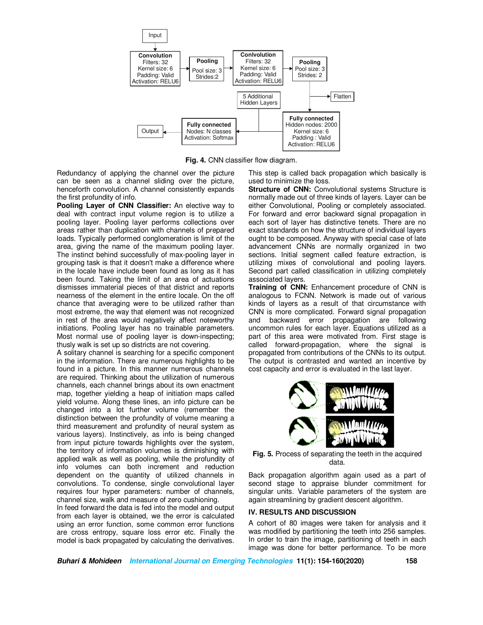

**Fig. 4.** CNN classifier flow diagram.

Redundancy of applying the channel over the picture can be seen as a channel sliding over the picture, henceforth convolution. A channel consistently expands the first profundity of info.

**Pooling Layer of CNN Classifier:** An elective way to deal with contract input volume region is to utilize a pooling layer. Pooling layer performs collections over areas rather than duplication with channels of prepared loads. Typically performed conglomeration is limit of the area, giving the name of the maximum pooling layer. The instinct behind successfully of max-pooling layer in grouping task is that it doesn't make a difference where in the locale have include been found as long as it has been found. Taking the limit of an area of actuations dismisses immaterial pieces of that district and reports nearness of the element in the entire locale. On the off chance that averaging were to be utilized rather than most extreme, the way that element was not recognized in rest of the area would negatively affect noteworthy initiations. Pooling layer has no trainable parameters. Most normal use of pooling layer is down-inspecting; thusly walk is set up so districts are not covering.

A solitary channel is searching for a specific component in the information. There are numerous highlights to be found in a picture. In this manner numerous channels are required. Thinking about the utilization of numerous channels, each channel brings about its own enactment map, together yielding a heap of initiation maps called yield volume. Along these lines, an info picture can be changed into a lot further volume (remember the distinction between the profundity of volume meaning a third measurement and profundity of neural system as various layers). Instinctively, as info is being changed from input picture towards highlights over the system, the territory of information volumes is diminishing with applied walk as well as pooling, while the profundity of info volumes can both increment and reduction dependent on the quantity of utilized channels in convolutions. To condense, single convolutional layer requires four hyper parameters: number of channels, channel size, walk and measure of zero cushioning.

In feed forward the data is fed into the model and output from each layer is obtained, we the error is calculated using an error function, some common error functions are cross entropy, square loss error etc. Finally the model is back propagated by calculating the derivatives.

This step is called back propagation which basically is used to minimize the loss.

**Structure of CNN:** Convolutional systems Structure is normally made out of three kinds of layers. Layer can be either Convolutional, Pooling or completely associated. For forward and error backward signal propagation in each sort of layer has distinctive tenets. There are no exact standards on how the structure of individual layers ought to be composed. Anyway with special case of late advancement CNNs are normally organized in two sections. Initial segment called feature extraction, is utilizing mixes of convolutional and pooling layers. Second part called classification in utilizing completely associated layers.

**Training of CNN:** Enhancement procedure of CNN is analogous to FCNN. Network is made out of various kinds of layers as a result of that circumstance with CNN is more complicated. Forward signal propagation and backward error propagation are following uncommon rules for each layer. Equations utilized as a part of this area were motivated from. First stage is called forward-propagation, where the signal is propagated from contributions of the CNNs to its output. The output is contrasted and wanted an incentive by cost capacity and error is evaluated in the last layer.



**Fig. 5.** Process of separating the teeth in the acquired data.

Back propagation algorithm again used as a part of second stage to appraise blunder commitment for singular units. Variable parameters of the system are again streamlining by gradient descent algorithm.

## **IV. RESULTS AND DISCUSSION**

A cohort of 80 images were taken for analysis and it was modified by partitioning the teeth into 256 samples. In order to train the image, partitioning of teeth in each image was done for better performance. To be more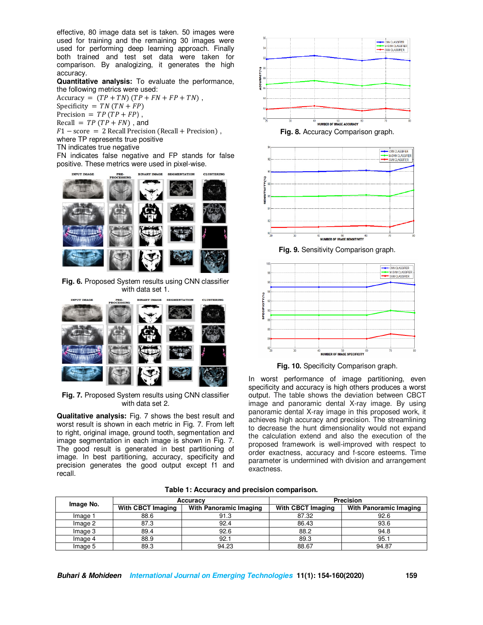effective, 80 image data set is taken. 50 images were used for training and the remaining 30 images were used for performing deep learning approach. Finally both trained and test set data were taken for comparison. By analogizing, it generates the high accuracy.

**Quantitative analysis:** To evaluate the performance, the following metrics were used:

 $Accuracy = (TP + TN) (TP + FN + FP + TN)$ , Specificity =  $TN(TN + FP)$ Precision =  $TP(TP + FP)$ , Recall =  $TP(TP + FN)$ , and  $F1 - score = 2$  Recall Precision (Recall + Precision), where TP represents true positive TN indicates true negative

FN indicates false negative and FP stands for false positive. These metrics were used in pixel-wise.



**Fig. 6.** Proposed System results using CNN classifier with data set 1.



**Fig. 7.** Proposed System results using CNN classifier with data set 2.

**Qualitative analysis:** Fig. 7 shows the best result and worst result is shown in each metric in Fig. 7. From left to right, original image, ground tooth, segmentation and image segmentation in each image is shown in Fig. 7. The good result is generated in best partitioning of image. In best partitioning, accuracy, specificity and precision generates the good output except f1 and recall.







**Fig. 9.** Sensitivity Comparison graph.





In worst performance of image partitioning, even specificity and accuracy is high others produces a worst output. The table shows the deviation between CBCT image and panoramic dental X-ray image. By using panoramic dental X-ray image in this proposed work, it achieves high accuracy and precision. The streamlining to decrease the hunt dimensionality would not expand the calculation extend and also the execution of the proposed framework is well-improved with respect to order exactness, accuracy and f-score esteems. Time parameter is undermined with division and arrangement exactness.

| Image No. | Accuracy                 |                        | <b>Precision</b>         |                               |
|-----------|--------------------------|------------------------|--------------------------|-------------------------------|
|           | <b>With CBCT Imaging</b> | With Panoramic Imaging | <b>With CBCT Imaging</b> | <b>With Panoramic Imaging</b> |
| Image 1   | 88.6                     | 91.3                   | 87.32                    | 92.6                          |
| Image 2   | 87.3                     | 92.4                   | 86.43                    | 93.6                          |
| Image 3   | 89.4                     | 92.6                   | 88.2                     | 94.8                          |
| Image 4   | 88.9                     | 92.1                   | 89.3                     | 95.1                          |
| Image 5   | 89.3                     | 94.23                  | 88.67                    | 94.87                         |

**Table 1: Accuracy and precision comparison.**